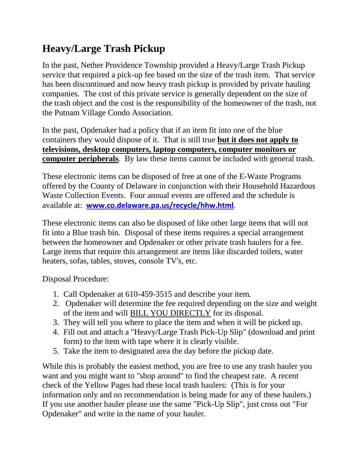## **Heavy/Large Trash Pickup**

In the past, Nether Providence Township provided a Heavy/Large Trash Pickup service that required a pick-up fee based on the size of the trash item. That service has been discontinued and now heavy trash pickup is provided by private hauling companies. The cost of this private service is generally dependent on the size of the trash object and the cost is the responsibility of the homeowner of the trash, not the Putnam Village Condo Association.

In the past, Opdenaker had a policy that if an item fit into one of the blue containers they would dispose of it. That is still true **but it does not apply to televisions, desktop computers, laptop computers, computer monitors or computer peripherals**. By law these items cannot be included with general trash.

These electronic items can be disposed of free at one of the E-Waste Programs offered by the County of Delaware in conjunction with their Household Hazardous Waste Collection Events. Four annual events are offered and the schedule is available at: **[www.co.delaware.pa.us/recycle/hhw.html](http://www.co.delaware.pa.us/recycle/hhw.html)**.

These electronic items can also be disposed of like other large items that will not fit into a Blue trash bin. Disposal of these items requires a special arrangement between the homeowner and Opdenaker or other private trash haulers for a fee. Large items that require this arrangement are items like discarded toilets, water heaters, sofas, tables, stoves, console TV's, etc.

Disposal Procedure:

- 1. Call Opdenaker at 610-459-3515 and describe your item.
- 2. Opdenaker will determine the fee required depending on the size and weight of the item and will BILL YOU DIRECTLY for its disposal.
- 3. They will tell you where to place the item and when it will be picked up.
- 4. Fill out and attach a "Heavy/Large Trash Pick-Up Slip" (download and print form) to the item with tape where it is clearly visible.
- 5. Take the item to designated area the day before the pickup date.

While this is probably the easiest method, you are free to use any trash hauler you want and you might want to "shop around" to find the cheapest rate. A recent check of the Yellow Pages had these local trash haulers: (This is for your information only and no recommendation is being made for any of these haulers.) If you use another hauler please use the same "Pick-Up Slip", just cross out "For Opdenaker" and write in the name of your hauler.